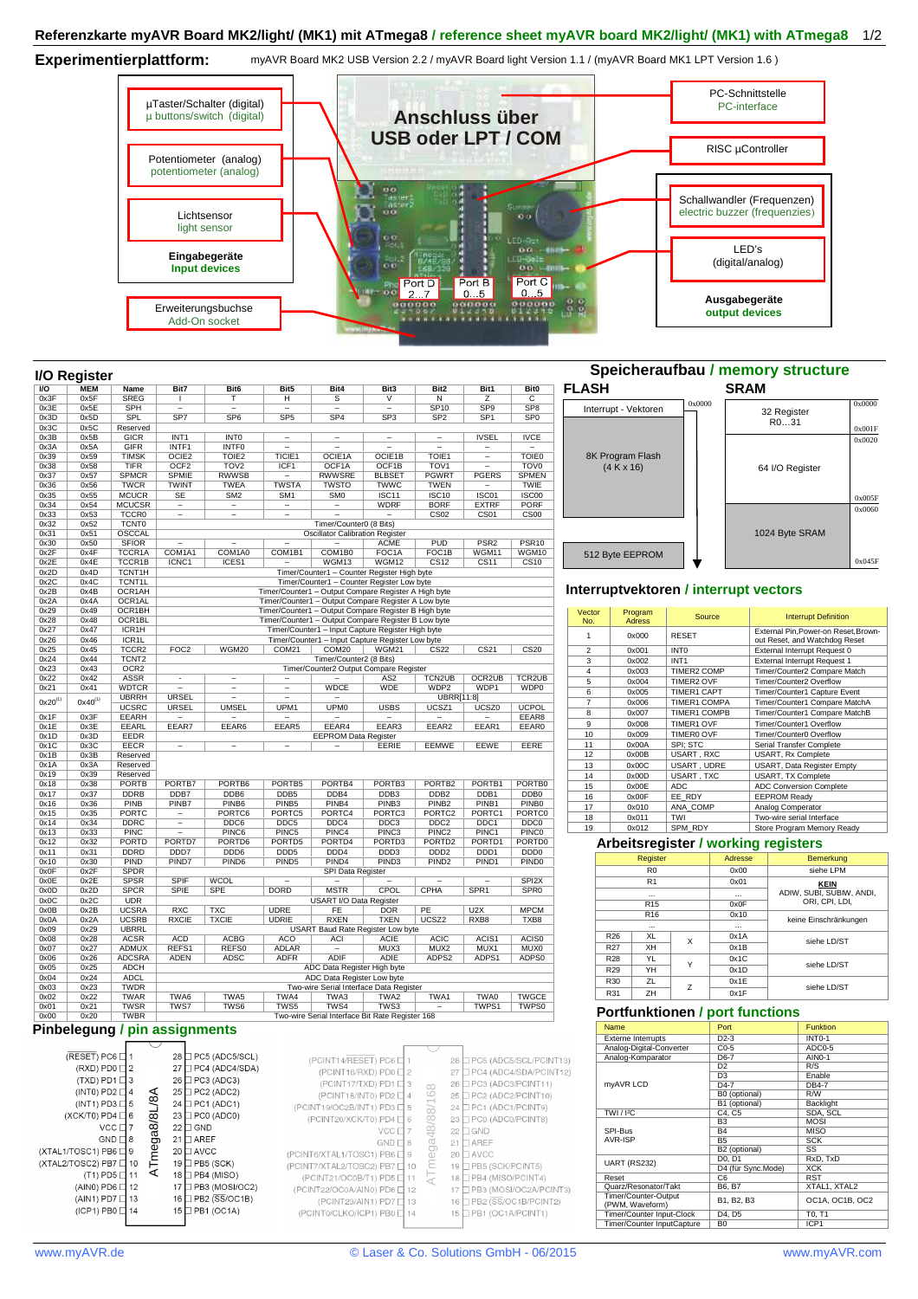## **Referenzkarte myAVR Board MK2/light/ (MK1) mit ATmega8 / reference sheet myAVR board MK2/light/ (MK1) with ATmega8** 1/2

**Experimentierplattform:** 

myAVR Board MK2 USB Version 2.2 / myAVR Board light Version 1.1 / (myAVR Board MK1 LPT Version 1.6 )



|                | I/O Register |                            |                          |                          |                          |                                                      |                             |                                        |                           |                          |                |                      |                                       |                     |             | opeicheraundau / memory structure       |        |
|----------------|--------------|----------------------------|--------------------------|--------------------------|--------------------------|------------------------------------------------------|-----------------------------|----------------------------------------|---------------------------|--------------------------|----------------|----------------------|---------------------------------------|---------------------|-------------|-----------------------------------------|--------|
| $\overline{U}$ | <b>MEM</b>   | Name                       | Bit7                     | Bit <sub>6</sub>         | Bit5                     | Bit4                                                 | Bit3                        | Bit <sub>2</sub>                       | Bit1                      | <b>Bit0</b>              | <b>FLASH</b>   |                      |                                       |                     | <b>SRAM</b> |                                         |        |
| 0x3F           | 0x5F         | <b>SREG</b>                | $\mathbf{I}$             | т                        | $\overline{H}$           | $\overline{s}$                                       | $\overline{\mathsf{v}}$     | $\overline{N}$                         | $\overline{z}$            | $\overline{\mathsf{c}}$  |                |                      |                                       | 0x0000              |             |                                         | 0x0000 |
| 0x3E           | 0x5E         | <b>SPH</b>                 | $\overline{a}$           | $\overline{a}$           | $\overline{a}$           | $\overline{a}$                                       | $\overline{\phantom{a}}$    | <b>SP10</b>                            | SP <sub>9</sub>           | SP <sub>8</sub>          |                | Interrupt - Vektoren |                                       |                     |             | 32 Register                             |        |
| 0x3D<br>0x3C   | 0x5D<br>0x5C | SPL<br>Reserved            | SP <sub>7</sub>          | SP <sub>6</sub>          | SP <sub>5</sub>          | SP <sub>4</sub>                                      | SP <sub>3</sub>             | SP <sub>2</sub>                        | SP <sub>1</sub>           | SP <sub>0</sub>          |                |                      |                                       |                     |             | R031                                    |        |
| 0x3B           | 0x5B         | <b>GICR</b>                | INT <sub>1</sub>         | INT <sub>0</sub>         | $\qquad \qquad -$        | $\overline{a}$                                       | $\overline{\phantom{a}}$    | $\qquad \qquad -$                      | <b>IVSEL</b>              | <b>IVCE</b>              |                |                      |                                       |                     |             |                                         | 0x001F |
| 0x3A           | 0x5A         | <b>GIFR</b>                | INTF1                    | <b>INTFO</b>             | $\overline{a}$           | $\overline{\phantom{0}}$                             | $\overline{\phantom{0}}$    | $\overline{\phantom{0}}$               | $\overline{\phantom{a}}$  | $\overline{\phantom{a}}$ |                |                      |                                       |                     |             |                                         | 0x0020 |
| 0x39           | 0x59         | <b>TIMSK</b>               | OCIE <sub>2</sub>        | TOIE <sub>2</sub>        | TICIE1                   | OCIE1A                                               | OCIE1B                      | TOIE1                                  | $\overline{\phantom{0}}$  | <b>TOIE0</b>             |                | 8K Program Flash     |                                       |                     |             |                                         |        |
| 0x38           | 0x58         | <b>TIFR</b>                | OCF <sub>2</sub>         | TOV <sub>2</sub>         | ICF1                     | OCF1A                                                | OCF1B                       | TOV <sub>1</sub>                       | $\qquad \qquad -$         | <b>TOVO</b>              |                | (4 K x 16)           |                                       |                     |             | 64 I/O Register                         |        |
| 0x37           | 0x57         | <b>SPMCR</b>               | <b>SPMIE</b>             | <b>RWWSB</b>             | $\overline{a}$           | <b>RWWSRE</b>                                        | <b>BLBSET</b>               | <b>PGWRT</b>                           | <b>PGERS</b>              | <b>SPMEN</b>             |                |                      |                                       |                     |             |                                         |        |
| 0x36           | 0x56         | <b>TWCR</b>                | <b>TWINT</b>             | <b>TWEA</b>              | <b>TWSTA</b>             | <b>TWSTO</b>                                         | <b>TWWC</b>                 | <b>TWEN</b>                            | $\overline{\phantom{a}}$  | <b>TWIE</b>              |                |                      |                                       |                     |             |                                         |        |
| 0x35           | 0x55         | <b>MCUCR</b>               | <b>SE</b>                | SM2                      | SM <sub>1</sub>          | <b>SMO</b>                                           | ISC11                       | <b>ISC10</b>                           | ISC01                     | <b>ISC00</b>             |                |                      |                                       |                     |             |                                         | 0x005F |
| 0x34           | 0x54         | <b>MCUCSR</b>              | $\qquad \qquad -$        | $\qquad \qquad -$        | $\overline{\phantom{a}}$ | $\qquad \qquad -$                                    | <b>WDRF</b>                 | <b>BORF</b>                            | <b>EXTRF</b>              | <b>PORF</b>              |                |                      |                                       |                     |             |                                         | 0x0060 |
| 0x33           | 0x53         | TCCR <sub>0</sub>          | $\overline{\phantom{0}}$ | $\overline{\phantom{0}}$ | $\overline{\phantom{a}}$ |                                                      | $\overline{\phantom{a}}$    | CS <sub>02</sub>                       | CS <sub>01</sub>          | CS <sub>00</sub>         |                |                      |                                       |                     |             |                                         |        |
| 0x32           | 0x52         | <b>TCNT0</b>               |                          |                          |                          | Timer/Counter0 (8 Bits)                              |                             |                                        |                           |                          |                |                      |                                       |                     |             |                                         |        |
| 0x31           | 0x51         | OSCCAL                     |                          |                          |                          | <b>Oscillator Calibration Register</b>               |                             |                                        |                           |                          |                |                      |                                       |                     |             | 1024 Byte SRAM                          |        |
| 0x30           | 0x50         | <b>SFIOR</b>               |                          | $\overline{a}$           |                          |                                                      | <b>ACME</b>                 | PUD                                    | PSR <sub>2</sub>          | PSR <sub>10</sub>        |                |                      |                                       |                     |             |                                         |        |
| 0x2F<br>0x2E   | 0x4F<br>0x4E | TCCR1A                     | COM1A1<br>ICNC1          | COM1A0<br>ICES1          | COM1B1                   | COM1B0<br>WGM13                                      | FOC <sub>1</sub> A<br>WGM12 | FOC <sub>1</sub> B<br>CS <sub>12</sub> | WGM11<br>CS <sub>11</sub> | WGM10                    |                | 512 Byte EEPROM      |                                       |                     |             |                                         | 0x045F |
| 0x2D           | 0x4D         | TCCR1B<br>TCNT1H           |                          |                          |                          | Timer/Counter1 - Counter Register High byte          |                             |                                        |                           | CS10                     |                |                      |                                       |                     |             |                                         |        |
| 0x2C           | 0x4C         | TCNT1L                     |                          |                          |                          | Timer/Counter1 - Counter Register Low byte           |                             |                                        |                           |                          |                |                      |                                       |                     |             |                                         |        |
| 0x2B           | 0x4B         | OCR1AH                     |                          |                          |                          | Timer/Counter1 - Output Compare Register A High byte |                             |                                        |                           |                          |                |                      | Interruptvektoren / interrupt vectors |                     |             |                                         |        |
| 0x2A           | 0x4A         | OCR1AL                     |                          |                          |                          | Timer/Counter1 - Output Compare Register A Low byte  |                             |                                        |                           |                          |                |                      |                                       |                     |             |                                         |        |
| 0x29           | 0x49         | OCR1BH                     |                          |                          |                          | Timer/Counter1 - Output Compare Register B High byte |                             |                                        |                           |                          | Vector         | Program              |                                       |                     |             |                                         |        |
| 0x28           | 0x48         | OCR1BL                     |                          |                          |                          | Timer/Counter1 - Output Compare Register B Low byte  |                             |                                        |                           |                          | No.            | <b>Adress</b>        |                                       | Source              |             | <b>Interrupt Definition</b>             |        |
| 0x27           | 0x47         | ICR1H                      |                          |                          |                          | Timer/Counter1 - Input Capture Register High byte    |                             |                                        |                           |                          |                |                      |                                       |                     |             | External Pin, Power-on Reset, Brown     |        |
| 0x26           | 0x46         | ICR <sub>1</sub> L         |                          |                          |                          | Timer/Counter1 - Input Capture Register Low byte     |                             |                                        |                           |                          | $\mathbf{1}$   | 0x000                | <b>RESET</b>                          |                     |             | out Reset, and Watchdog Reset           |        |
| 0x25           | 0x45         | TCCR <sub>2</sub>          | FOC <sub>2</sub>         | WGM20                    | COM21                    | COM20                                                | <b>WGM21</b>                | CS22                                   | CS <sub>21</sub>          | CS <sub>20</sub>         | $\overline{2}$ | 0x001                | <b>INTO</b>                           |                     |             | External Interrupt Request 0            |        |
| 0x24           | 0x44         | TCNT <sub>2</sub>          |                          |                          |                          | Timer/Counter2 (8 Bits)                              |                             |                                        |                           |                          | 3              | 0x002                | INT <sub>1</sub>                      |                     |             | External Interrupt Request 1            |        |
| 0x23           | 0x43         | OCR <sub>2</sub>           |                          |                          |                          | Timer/Counter2 Output Compare Register               |                             |                                        |                           |                          | 4              | 0x003                |                                       | TIMER2 COMP         |             | Timer/Counter2 Compare Match            |        |
| 0x22           | 0x42         | <b>ASSR</b>                | $\overline{\phantom{a}}$ | $\overline{\phantom{0}}$ | $\overline{\phantom{0}}$ |                                                      | AS <sub>2</sub>             | TCN2UB                                 | OCR2UB                    | <b>TCR2UB</b>            | 5              | 0x004                | <b>TIMER2 OVF</b>                     |                     |             | Timer/Counter2 Overflow                 |        |
| 0x21           | 0x41         | <b>WDTCR</b>               | $\overline{\phantom{0}}$ | $\qquad \qquad -$        | $\qquad \qquad -$        | <b>WDCE</b>                                          | <b>WDE</b>                  | WDP <sub>2</sub>                       | WDP1                      | WDP <sub>0</sub>         | 6              | 0x005                | <b>TIMER1 CAPT</b>                    |                     |             | Timer/Counter1 Capture Event            |        |
| $0x20^{(1)}$   | $0x40^{(1)}$ | <b>UBRRH</b>               | <b>URSEL</b>             | $\overline{\phantom{0}}$ | $\overline{\phantom{0}}$ |                                                      |                             | UBRR[11:8]                             |                           |                          | $\overline{7}$ | 0x006                |                                       | TIMER1 COMPA        |             | Timer/Counter1 Compare MatchA           |        |
|                |              | <b>UCSRC</b>               | <b>URSEL</b>             | <b>UMSEL</b>             | UPM <sub>1</sub>         | UPM <sub>0</sub>                                     | <b>USBS</b>                 | UCSZ1                                  | UCSZ0                     | <b>UCPOL</b>             | 8              | 0x007                |                                       | <b>TIMER1 COMPB</b> |             | Timer/Counter1 Compare MatchB           |        |
| 0x1F           | 0x3F         | <b>EEARH</b>               | $\overline{\phantom{0}}$ | $\overline{\phantom{0}}$ | $\overline{a}$           | $\overline{\phantom{0}}$                             | $\overline{\phantom{a}}$    |                                        | $\overline{\phantom{0}}$  | EEAR8                    | 9              | 0x008                | TIMER1 OVF                            |                     |             | Timer/Counter1 Overflow                 |        |
| 0x1E           | 0x3E         | EEARL                      | EEAR7                    | EEAR6                    | EEAR5                    | EEAR4                                                | EEAR3                       | EEAR2                                  | EEAR1                     | EEAR0                    | 10             | 0x009                | TIMER0 OVF                            |                     |             | Timer/Counter0 Overflow                 |        |
| 0x1D<br>0x1C   | 0x3D<br>0x3C | EEDR<br><b>EECR</b>        | $\overline{a}$           | $\overline{\phantom{0}}$ | $\overline{\phantom{a}}$ | <b>EEPROM Data Register</b>                          | EERIE                       | EEMWE                                  | EEWE                      | EERE                     | 11             | 0x00A                | SPI; STC                              |                     |             | Serial Transfer Complete                |        |
| 0x1B           | 0x3B         | Reserved                   |                          |                          |                          |                                                      |                             |                                        |                           |                          | 12             | 0x00B                | USART, RXC                            |                     |             | USART, Rx Complete                      |        |
| 0x1A           | 0x3A         | Reserved                   |                          |                          |                          |                                                      |                             |                                        |                           |                          | 13             | 0x00C                |                                       | USART, UDRE         |             | USART, Data Register Empty              |        |
| 0x19           | 0x39         | Reserved                   |                          |                          |                          |                                                      |                             |                                        |                           |                          | 14             | 0x00D                | USART, TXC                            |                     |             | USART, TX Complete                      |        |
| 0x18           | 0x38         | <b>PORTB</b>               | PORTB7                   | PORTB6                   | PORTB5                   | PORTB4                                               | PORTB3                      | PORTB <sub>2</sub>                     | PORTB1                    | PORTB0                   | 15             | 0x00E                | ADC                                   |                     |             | ADC Conversion Complete                 |        |
| 0x17           | 0x37         | <b>DDRB</b>                | DDB7                     | DDB6                     | DDB <sub>5</sub>         | DDB4                                                 | DDB <sub>3</sub>            | DDB <sub>2</sub>                       | DDB1                      | DDB <sub>0</sub>         | 16             | 0x00F                | EE RDY                                |                     |             | <b>EEPROM Ready</b>                     |        |
| 0x16           | 0x36         | PINB                       | PINB7                    | PINB <sub>6</sub>        | PINB <sub>5</sub>        | PINB4                                                | PINB <sub>3</sub>           | PINB <sub>2</sub>                      | PINB1                     | PINB <sub>0</sub>        | 17             | 0x010                | ANA COMP                              |                     |             | Analog Comperator                       |        |
| 0x15           | 0x35         | <b>PORTC</b>               | $\overline{a}$           | PORTC6                   | PORTC5                   | PORTC4                                               | PORTC <sub>3</sub>          | PORTC <sub>2</sub>                     | PORTC1                    | PORTC0                   | 18             | 0x011                | TWI                                   |                     |             | Two-wire serial Interface               |        |
| 0x14           | 0x34         | <b>DDRC</b>                | $\overline{a}$           | DDC6                     | DDC5                     | DDC4                                                 | DDC <sub>3</sub>            | DDC <sub>2</sub>                       | DDC1                      | DDC <sub>0</sub>         | 19             | 0x012                | SPM RDY                               |                     |             | Store Program Memory Ready              |        |
| 0x13           | 0x33         | <b>PINC</b>                |                          | PINC6                    | PINC5                    | PINC4                                                | PINC3                       | PINC <sub>2</sub>                      | PINC1                     | <b>PINCO</b>             |                |                      |                                       |                     |             |                                         |        |
| 0x12           | 0x32         | PORTD                      | PORTD7                   | PORTD6                   | PORTD5                   | PORTD4                                               | PORTD3                      | PORTD <sub>2</sub>                     | PORTD1                    | PORTD0                   |                |                      |                                       |                     |             | Arbeitsregister / working registers     |        |
| 0x11           | 0x31         | <b>DDRD</b>                | DDD7                     | DDD <sub>6</sub>         | DDD <sub>5</sub>         | DDD4                                                 | DD <sub>D</sub> 3           | DDD <sub>2</sub>                       | DDD1                      | DDD <sub>0</sub>         |                |                      | Register                              |                     | Adresse     | Bemerkung                               |        |
| 0x10           | 0x30         | PIND                       | PIND7                    | PIND <sub>6</sub>        | PIND <sub>5</sub>        | PIND <sub>4</sub>                                    | PIND <sub>3</sub>           | PIND <sub>2</sub>                      | PIND <sub>1</sub>         | PIND <sub>0</sub>        |                |                      |                                       |                     |             |                                         |        |
| 0x0F           | 0x2F         | <b>SPDR</b>                |                          |                          |                          | SPI Data Register                                    |                             |                                        |                           |                          |                |                      | R <sub>0</sub>                        |                     | 0x00        | siehe LPM                               |        |
| 0x0E           | 0x2E         | <b>SPSR</b>                | <b>SPIF</b>              | <b>WCOL</b>              | $\overline{\phantom{0}}$ | $\overline{a}$                                       |                             | $\overline{\phantom{a}}$               | $\overline{\phantom{0}}$  | SPI <sub>2X</sub>        |                |                      | R1                                    |                     | 0x01        | <b>KEIN</b><br>ADIW, SUBI, SUBIW, ANDI, |        |
| 0x0D           | 0x2D         | <b>SPCR</b>                | SPIE                     | <b>SPE</b>               | <b>DORD</b>              | <b>MSTR</b>                                          | CPOL                        | CPHA                                   | SPR <sub>1</sub>          | <b>SPR0</b>              |                |                      | $\cdots$                              |                     | $\cdots$    |                                         |        |
| 0x0C<br>0x0B   | 0x2C<br>0x2B | <b>UDR</b><br><b>UCSRA</b> | <b>RXC</b>               | <b>TXC</b>               | <b>UDRE</b>              | <b>USART I/O Data Register</b><br>FE                 | <b>DOR</b>                  | PE                                     | U2X                       | <b>MPCM</b>              |                |                      | R <sub>15</sub>                       |                     | 0x0F        | ORI, CPI, LDI,                          |        |
| 0x0A           | 0x2A         | <b>UCSRB</b>               | <b>RXCIE</b>             | <b>TXCIE</b>             | <b>UDRIE</b>             | <b>RXEN</b>                                          | <b>TXEN</b>                 | UCSZ <sub>2</sub>                      | RXB8                      | TXB8                     |                |                      | R <sub>16</sub>                       |                     | 0x10        |                                         |        |
| 0x09           | 0x29         | <b>UBRRL</b>               |                          |                          |                          | USART Baud Rate Register Low byte                    |                             |                                        |                           |                          |                |                      |                                       |                     | $\ldots$    | keine Einschränkungen                   |        |
| 0x08           | 0x28         | <b>ACSR</b>                | <b>ACD</b>               | <b>ACBG</b>              | <b>ACO</b>               | <b>ACI</b>                                           | <b>ACIE</b>                 | <b>ACIC</b>                            | ACIS1                     | ACIS0                    |                | R <sub>26</sub>      | XL                                    |                     | 0x1A        |                                         |        |
| 0x07           | 0x27         | <b>ADMUX</b>               | REFS1                    | REFS0                    | <b>ADLAR</b>             | $\overline{\phantom{0}}$                             | MUX3                        | MUX2                                   | MUX1                      | <b>MUX0</b>              |                | R <sub>27</sub>      | X<br>XH                               |                     | 0x1B        | siehe LD/ST                             |        |
| 0x06           | 0x26         | <b>ADCSRA</b>              | <b>ADEN</b>              | <b>ADSC</b>              | <b>ADFR</b>              | <b>ADIF</b>                                          | ADIE                        | ADPS2                                  | ADPS1                     | ADPS0                    |                | YL<br><b>R28</b>     |                                       |                     | 0x1C        |                                         |        |
| 0x05           | 0x25         | <b>ADCH</b>                |                          |                          |                          | ADC Data Register High byte                          |                             |                                        |                           |                          |                | R <sub>29</sub>      | Y<br>YH                               |                     | 0x1D        | siehe LD/ST                             |        |
| 0x04           | 0x24         | <b>ADCL</b>                |                          |                          |                          | ADC Data Register Low byte                           |                             |                                        |                           |                          |                | R30                  | ZL                                    |                     | 0x1E        |                                         |        |
| 0x03           | 0x23         | <b>TWDR</b>                |                          |                          |                          | Two-wire Serial Interface Data Register              |                             |                                        |                           |                          |                |                      | Z                                     |                     |             | siehe LD/ST                             |        |
| 0x02           | 0x22         | <b>TWAR</b>                | TWA6                     | TWA5                     | TWA4                     | TWA3                                                 | TWA2                        | TWA1                                   | TWA0                      | <b>TWGCE</b>             |                | R31                  | ZH                                    |                     | 0x1F        |                                         |        |

## 0x01 0x21 TWSR TWS7 TWS6 TWS5 TWS4 TWS3 – TWPS1 TWPS0 0x00 0x20 TWBR Two-wire Serial Interface Bit Rate Register 168 **Pinbelegung / pin assignments**

| (RESET) PC6 $\Box$ 1        |           | $28 \Box PC5 (ADC5/SCL)$    | (PCINT14/RESET) PC6 $\Box$ 1  |                     | 28 PC5 (ADC5/SCL/PCINT13) |
|-----------------------------|-----------|-----------------------------|-------------------------------|---------------------|---------------------------|
| $(RXD)$ PD0 $\Box$ 2        |           | $27 \square$ PC4 (ADC4/SDA) | (PCINT16/RXD) PD0 □ 2         |                     | 27 PC4 (ADC4/SDA/PCINT12) |
| $(TXD)$ PD1 $\Box$ 3        |           | $26 \Box$ PC3 (ADC3)        | $(PCINT17/TXD)$ PD1 $\Box$ 3  | $\infty$            | 26 □ PC3 (ADC3/PCINT11)   |
| (INTO) PD2 $\Box$ 4         |           | $25$ PC2 (ADC2)             | (PCINT18/INT0) PD2 □ 4        | $\circlearrowright$ | 25 PC2 (ADC2/PCINT10)     |
| (INT1) PD3 $\Box$ 5         | ∕8        | $24$ $\Box$ PC1 (ADC1)      | (PCINT19/OC2B/INT1) PD3 □ 5   | ळ                   | 24 □ PC1 (ADC1/PCINT9)    |
| (XCK/T0) PD4 $\Box$ 6       |           | $23$ $\Box$ PC0 (ADC0)      | (PCINT20/XCK/T0) PD4 □ 6      | ō0                  | 23 □ PC0 (ADC0/PCINT8)    |
| $VCC$ $\Box$ 7              |           | $22 \Box$ GND               | $VCC$ $\Box$ 7                | $\frac{8}{4}$       | $22 \square$ GND          |
| $GND \sqcap 8$              |           | $21$ $\Box$ AREF            | $GND \sqcap 8$                | œ                   | $21$ $\Box$ AREF          |
| (XTAL1/TOSC1) PB6 $\Box$ 9  | Tmega8/8I | $20 \Box$ AVCC              | (PCINT6/XTAL1/TOSC1) PB6□9    |                     | 20 □ AVCC                 |
| (XTAL2/TOSC2) PB7 $\Box$ 10 |           | $19 \Box PB5$ (SCK)         | (PCINT7/XTAL2/TOSC2) PB7 □ 10 | 는                   | 19 □ PB5 (SCK/PCINT5)     |
| (T1) PD5 □ 11               | ⋖         | 18 $\Box$ PB4 (MISO)        | (PCINT21/OC0B/T1) PD5 □ 11    |                     | 18 PB4 (MISO/PCINT4)      |
| (AIN0) PD6 $\Box$ 12        |           | $17 \Box$ PB3 (MOSI/OC2)    | (PCINT22/OC0A/AIN0) PD6 2 12  |                     | 17 PB3 (MOSI/OC2A/PCINT3) |
| (AIN1) PD7 $\Box$ 13        |           | $16$ PB2 (SS/OC1B)          | (PCINT23/AIN1) PD7 □ 13       |                     | 16 PB2 (SS/OC1B/PCINT2)   |
| $(ICP1)$ PB0 $\Box$ 14      |           | 15 □ PB1 (OC1A)             | (PCINT0/CLKO/ICP1) PB0□14     |                     | 15 PB1 (OC1A/PCINT1)      |
|                             |           |                             |                               |                     |                           |

## **Speicheraufbau / memory structure**



|                 | . .             |   | ີ        | ີ                        |  |  |  |
|-----------------|-----------------|---|----------|--------------------------|--|--|--|
|                 | Register        |   | Adresse  | Bemerkung                |  |  |  |
|                 | R <sub>0</sub>  |   | 0x00     | siehe LPM                |  |  |  |
|                 | R <sub>1</sub>  |   | 0x01     | <b>KEIN</b>              |  |  |  |
|                 |                 |   | $\cdots$ | ADIW, SUBI, SUBIW, ANDI, |  |  |  |
|                 | R <sub>15</sub> |   | 0x0F     | ORI, CPI, LDI,           |  |  |  |
|                 | R <sub>16</sub> |   | 0x10     | keine Einschränkungen    |  |  |  |
|                 | $\cdots$        |   | $\cdots$ |                          |  |  |  |
| R <sub>26</sub> | XL              | x | 0x1A     | siehe LD/ST              |  |  |  |
| R27             | XH              |   | 0x1B     |                          |  |  |  |
| <b>R28</b>      | YL              | Υ | 0x1C     | siehe LD/ST              |  |  |  |
| R <sub>29</sub> | YH              |   | 0x1D     |                          |  |  |  |
| R30             | ZL              | Z | 0x1E     | siehe LD/ST              |  |  |  |
| D24             | フロ              |   | 0.4E     |                          |  |  |  |

#### **Portfunktionen / port functions**

| Port                            | <b>Funktion</b>     |  |  |  |  |
|---------------------------------|---------------------|--|--|--|--|
| $D2-3$                          | INTO-1              |  |  |  |  |
| $CO-5$                          | ADC0-5              |  |  |  |  |
| D6-7                            | AIN <sub>0</sub> -1 |  |  |  |  |
| D <sub>2</sub>                  | R/S                 |  |  |  |  |
| D <sub>3</sub>                  | Enable              |  |  |  |  |
| D4-7                            | DB4-7               |  |  |  |  |
| B0 (optional)                   | R/W                 |  |  |  |  |
| B1 (optional)                   | Backlight           |  |  |  |  |
| C4, C5                          | SDA, SCL            |  |  |  |  |
| B <sub>3</sub>                  | <b>MOSI</b>         |  |  |  |  |
| <b>B4</b>                       | <b>MISO</b>         |  |  |  |  |
| B <sub>5</sub>                  | <b>SCK</b>          |  |  |  |  |
|                                 | SS                  |  |  |  |  |
| D <sub>0</sub> . D <sub>1</sub> | RxD. TxD            |  |  |  |  |
| D4 (für Sync.Mode)              | <b>XCK</b>          |  |  |  |  |
| C <sub>6</sub>                  | RST                 |  |  |  |  |
| B6. B7                          | XTAL1, XTAL2        |  |  |  |  |
| B1, B2, B3                      | OC1A, OC1B, OC2     |  |  |  |  |
| D4, D5                          | T0. T1              |  |  |  |  |
| B <sub>0</sub>                  | ICP1                |  |  |  |  |
|                                 | B2 (optional)       |  |  |  |  |